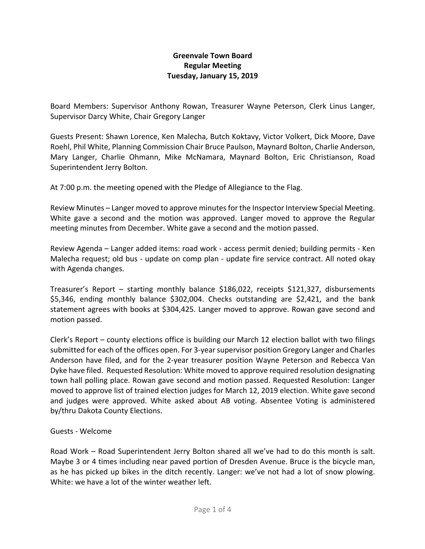## **Greenvale Town Board Regular Meeting Tuesday, January 15, 2019**

Board Members: Supervisor Anthony Rowan, Treasurer Wayne Peterson, Clerk Linus Langer, Supervisor Darcy White, Chair Gregory Langer

Guests Present: Shawn Lorence, Ken Malecha, Butch Koktavy, Victor Volkert, Dick Moore, Dave Roehl, Phil White, Planning Commission Chair Bruce Paulson, Maynard Bolton, Charlie Anderson, Mary Langer, Charlie Ohmann, Mike McNamara, Maynard Bolton, Eric Christianson, Road Superintendent Jerry Bolton.

At 7:00 p.m. the meeting opened with the Pledge of Allegiance to the Flag.

Review Minutes – Langer moved to approve minutes for the Inspector Interview Special Meeting. White gave a second and the motion was approved. Langer moved to approve the Regular meeting minutes from December. White gave a second and the motion passed.

Review Agenda – Langer added items: road work - access permit denied; building permits - Ken Malecha request; old bus - update on comp plan - update fire service contract. All noted okay with Agenda changes.

Treasurer's Report – starting monthly balance \$186,022, receipts \$121,327, disbursements \$5,346, ending monthly balance \$302,004. Checks outstanding are \$2,421, and the bank statement agrees with books at \$304,425. Langer moved to approve. Rowan gave second and motion passed.

Clerk's Report – county elections office is building our March 12 election ballot with two filings submitted for each of the offices open. For 3-year supervisor position Gregory Langer and Charles Anderson have filed, and for the 2-year treasurer position Wayne Peterson and Rebecca Van Dyke have filed. Requested Resolution: White moved to approve required resolution designating town hall polling place. Rowan gave second and motion passed. Requested Resolution: Langer moved to approve list of trained election judges for March 12, 2019 election. White gave second and judges were approved. White asked about AB voting. Absentee Voting is administered by/thru Dakota County Elections.

## Guests - Welcome

Road Work – Road Superintendent Jerry Bolton shared all we've had to do this month is salt. Maybe 3 or 4 times including near paved portion of Dresden Avenue. Bruce is the bicycle man, as he has picked up bikes in the ditch recently. Langer: we've not had a lot of snow plowing. White: we have a lot of the winter weather left.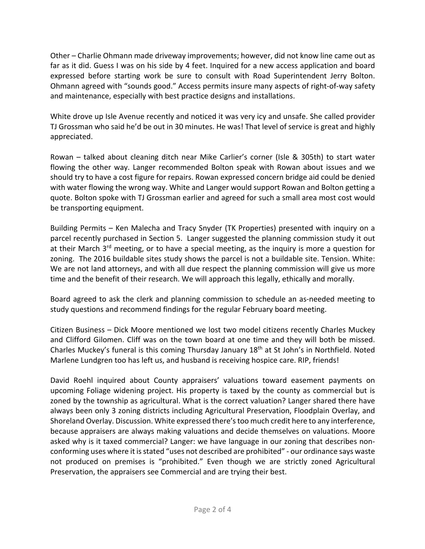Other – Charlie Ohmann made driveway improvements; however, did not know line came out as far as it did. Guess I was on his side by 4 feet. Inquired for a new access application and board expressed before starting work be sure to consult with Road Superintendent Jerry Bolton. Ohmann agreed with "sounds good." Access permits insure many aspects of right-of-way safety and maintenance, especially with best practice designs and installations.

White drove up Isle Avenue recently and noticed it was very icy and unsafe. She called provider TJ Grossman who said he'd be out in 30 minutes. He was! That level of service is great and highly appreciated.

Rowan – talked about cleaning ditch near Mike Carlier's corner (Isle & 305th) to start water flowing the other way. Langer recommended Bolton speak with Rowan about issues and we should try to have a cost figure for repairs. Rowan expressed concern bridge aid could be denied with water flowing the wrong way. White and Langer would support Rowan and Bolton getting a quote. Bolton spoke with TJ Grossman earlier and agreed for such a small area most cost would be transporting equipment.

Building Permits – Ken Malecha and Tracy Snyder (TK Properties) presented with inquiry on a parcel recently purchased in Section 5. Langer suggested the planning commission study it out at their March 3<sup>rd</sup> meeting, or to have a special meeting, as the inquiry is more a question for zoning. The 2016 buildable sites study shows the parcel is not a buildable site. Tension. White: We are not land attorneys, and with all due respect the planning commission will give us more time and the benefit of their research. We will approach this legally, ethically and morally.

Board agreed to ask the clerk and planning commission to schedule an as-needed meeting to study questions and recommend findings for the regular February board meeting.

Citizen Business – Dick Moore mentioned we lost two model citizens recently Charles Muckey and Clifford Gilomen. Cliff was on the town board at one time and they will both be missed. Charles Muckey's funeral is this coming Thursday January 18<sup>th</sup> at St John's in Northfield. Noted Marlene Lundgren too has left us, and husband is receiving hospice care. RIP, friends!

David Roehl inquired about County appraisers' valuations toward easement payments on upcoming Foliage widening project. His property is taxed by the county as commercial but is zoned by the township as agricultural. What is the correct valuation? Langer shared there have always been only 3 zoning districts including Agricultural Preservation, Floodplain Overlay, and Shoreland Overlay. Discussion. White expressed there's too much credit here to any interference, because appraisers are always making valuations and decide themselves on valuations. Moore asked why is it taxed commercial? Langer: we have language in our zoning that describes nonconforming uses where it isstated "uses not described are prohibited" - our ordinance says waste not produced on premises is "prohibited." Even though we are strictly zoned Agricultural Preservation, the appraisers see Commercial and are trying their best.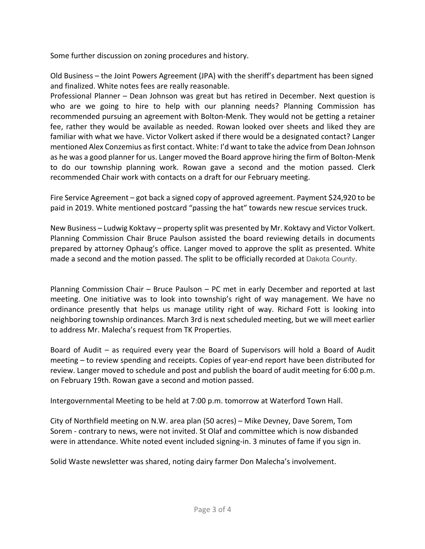Some further discussion on zoning procedures and history.

Old Business – the Joint Powers Agreement (JPA) with the sheriff's department has been signed and finalized. White notes fees are really reasonable.

Professional Planner – Dean Johnson was great but has retired in December. Next question is who are we going to hire to help with our planning needs? Planning Commission has recommended pursuing an agreement with Bolton-Menk. They would not be getting a retainer fee, rather they would be available as needed. Rowan looked over sheets and liked they are familiar with what we have. Victor Volkert asked if there would be a designated contact? Langer mentioned Alex Conzemius as first contact. White: I'd want to take the advice from Dean Johnson as he was a good planner for us. Langer moved the Board approve hiring the firm of Bolton-Menk to do our township planning work. Rowan gave a second and the motion passed. Clerk recommended Chair work with contacts on a draft for our February meeting.

Fire Service Agreement – got back a signed copy of approved agreement. Payment \$24,920 to be paid in 2019. White mentioned postcard "passing the hat" towards new rescue services truck.

New Business – Ludwig Koktavy – property split was presented by Mr. Koktavy and Victor Volkert. Planning Commission Chair Bruce Paulson assisted the board reviewing details in documents prepared by attorney Ophaug's office. Langer moved to approve the split as presented. White made a second and the motion passed. The split to be officially recorded at Dakota County.

Planning Commission Chair – Bruce Paulson – PC met in early December and reported at last meeting. One initiative was to look into township's right of way management. We have no ordinance presently that helps us manage utility right of way. Richard Fott is looking into neighboring township ordinances. March 3rd is next scheduled meeting, but we will meet earlier to address Mr. Malecha's request from TK Properties.

Board of Audit – as required every year the Board of Supervisors will hold a Board of Audit meeting – to review spending and receipts. Copies of year-end report have been distributed for review. Langer moved to schedule and post and publish the board of audit meeting for 6:00 p.m. on February 19th. Rowan gave a second and motion passed.

Intergovernmental Meeting to be held at 7:00 p.m. tomorrow at Waterford Town Hall.

City of Northfield meeting on N.W. area plan (50 acres) – Mike Devney, Dave Sorem, Tom Sorem - contrary to news, were not invited. St Olaf and committee which is now disbanded were in attendance. White noted event included signing-in. 3 minutes of fame if you sign in.

Solid Waste newsletter was shared, noting dairy farmer Don Malecha's involvement.